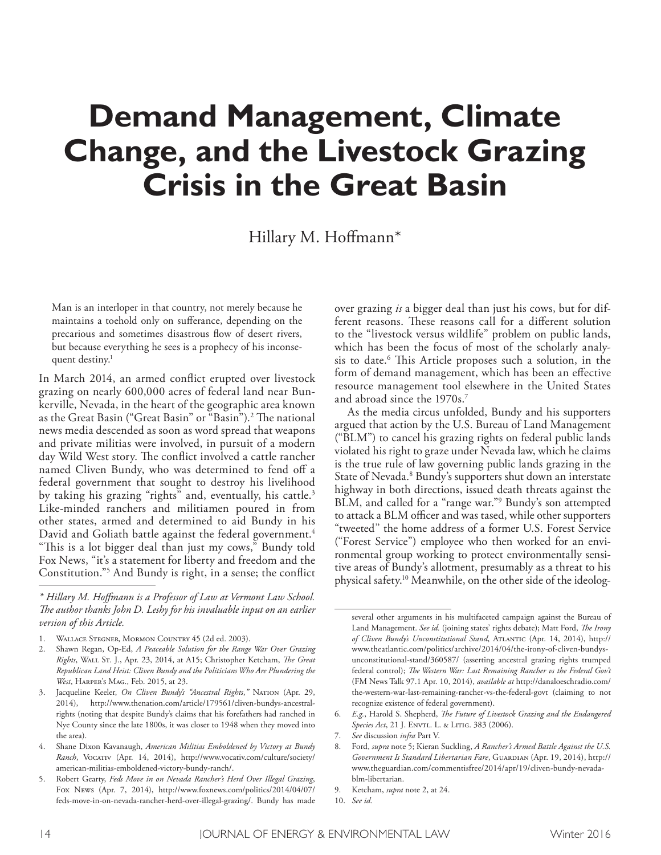# **Demand Management, Climate Change, and the Livestock Grazing Crisis in the Great Basin**

Hillary M. Hofmann\*

Man is an interloper in that country, not merely because he maintains a toehold only on suferance, depending on the precarious and sometimes disastrous flow of desert rivers, but because everything he sees is a prophecy of his inconsequent destiny. 1

In March 2014, an armed confict erupted over livestock grazing on nearly 600,000 acres of federal land near Bunkerville, Nevada, in the heart of the geographic area known as the Great Basin ("Great Basin" or "Basin").<sup>2</sup> The national news media descended as soon as word spread that weapons and private militias were involved, in pursuit of a modern day Wild West story. The conflict involved a cattle rancher named Cliven Bundy, who was determined to fend off a federal government that sought to destroy his livelihood by taking his grazing "rights" and, eventually, his cattle. 3 Like-minded ranchers and militiamen poured in from other states, armed and determined to aid Bundy in his David and Goliath battle against the federal government. 4 "This is a lot bigger deal than just my cows," Bundy told Fox News, "it's a statement for liberty and freedom and the Constitution."5 And Bundy is right, in a sense; the confict over grazing *is* a bigger deal than just his cows, but for different reasons. These reasons call for a different solution to the "livestock versus wildlife" problem on public lands, which has been the focus of most of the scholarly analysis to date. <sup>6</sup> Tis Article proposes such a solution, in the form of demand management, which has been an efective resource management tool elsewhere in the United States and abroad since the 1970s. 7

As the media circus unfolded, Bundy and his supporters argued that action by the U.S. Bureau of Land Management ("BLM") to cancel his grazing rights on federal public lands violated his right to graze under Nevada law, which he claims is the true rule of law governing public lands grazing in the State of Nevada. 8 Bundy's supporters shut down an interstate highway in both directions, issued death threats against the BLM, and called for a "range war."9 Bundy's son attempted to attack a BLM officer and was tased, while other supporters "tweeted" the home address of a former U.S. Forest Service ("Forest Service") employee who then worked for an environmental group working to protect environmentally sensitive areas of Bundy's allotment, presumably as a threat to his physical safety. 10 Meanwhile, on the other side of the ideolog-

*<sup>\*</sup> Hillary M. Hofmann is a Professor of Law at Vermont Law School. Te author thanks John D. Leshy for his invaluable input on an earlier version of this Article.*

<sup>1.</sup> Wallace Stegner, Mormon Country 45 (2d ed. 2003).

<sup>2.</sup> Shawn Regan, Op-Ed, *A Peaceable Solution for the Range War Over Grazing Rights*, Wall St. J., Apr. 23, 2014, at A15; Christopher Ketcham, *Te Great Republican Land Heist: Cliven Bundy and the Politicians Who Are Plundering the West*, Harper's Mag., Feb. 2015, at 23.

<sup>3.</sup> Jacqueline Keeler, *On Cliven Bundy's "Ancestral Rights*,*"* Nation (Apr. 29, 2014), http://www.thenation.com/article/179561/cliven-bundys-ancestralrights (noting that despite Bundy's claims that his forefathers had ranched in Nye County since the late 1800s, it was closer to 1948 when they moved into the area).

<sup>4.</sup> Shane Dixon Kavanaugh, *American Militias Emboldened by Victory at Bundy*  Ranch, Vocatrv (Apr. 14, 2014), http://www.vocativ.com/culture/society/ american-militias-emboldened-victory-bundy-ranch/.

<sup>5.</sup> Robert Gearty, *Feds Move in on Nevada Rancher's Herd Over Illegal Grazing*, Fox News (Apr. 7, 2014), http://www.foxnews.com/politics/2014/04/07/ feds-move-in-on-nevada-rancher-herd-over-illegal-grazing/. Bundy has made

several other arguments in his multifaceted campaign against the Bureau of Land Management. *See id.* (joining states' rights debate); Matt Ford, *Te Irony of Cliven Bundy's Unconstitutional Stand*, Atlantic (Apr. 14, 2014), http:// www.theatlantic.com/politics/archive/2014/04/the-irony-of-cliven-bundysunconstitutional-stand/360587/ (asserting ancestral grazing rights trumped federal control); *Te Western War: Last Remaining Rancher vs the Federal Gov't* (FM News Talk 97.1 Apr. 10, 2014), *available at* http://danaloeschradio.com/ the-western-war-last-remaining-rancher-vs-the-federal-govt (claiming to not recognize existence of federal government).

<sup>6.</sup> *E.g.*, Harold S. Shepherd, *Te Future of Livestock Grazing and the Endangered*  Species Act, 21 J. ENVTL. L. & LITIG. 383 (2006).

<sup>7.</sup> *See* discussion *infra* Part V.

<sup>8.</sup> Ford, *supra* note 5; Kieran Suckling, *A Rancher's Armed Battle Against the U.S. Government Is Standard Libertarian Fare*, GUARDIAN (Apr. 19, 2014), http:// www.theguardian.com/commentisfree/2014/apr/19/cliven-bundy-nevadablm-libertarian.

<sup>9.</sup> Ketcham, *supra* note 2, at 24.

<sup>10.</sup> *See id.*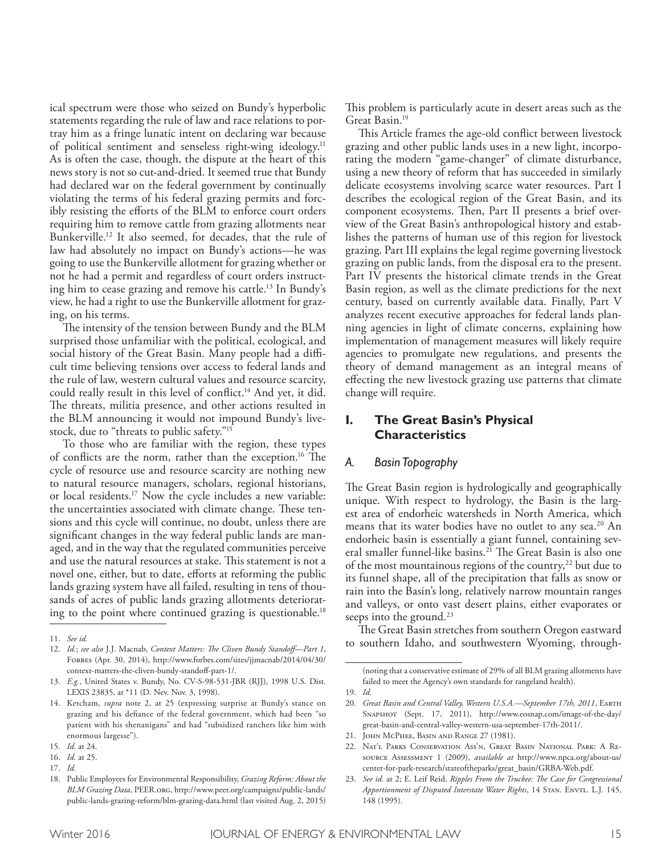ical spectrum were those who seized on Bundy's hyperbolic statements regarding the rule of law and race relations to portray him as a fringe lunatic intent on declaring war because of political sentiment and senseless right-wing ideology.<sup>11</sup> As is often the case, though, the dispute at the heart of this news story is not so cut-and-dried. It seemed true that Bundy had declared war on the federal government by continually violating the terms of his federal grazing permits and forcibly resisting the eforts of the BLM to enforce court orders requiring him to remove cattle from grazing allotments near Bunkerville. 12 It also seemed, for decades, that the rule of law had absolutely no impact on Bundy's actions—he was going to use the Bunkerville allotment for grazing whether or not he had a permit and regardless of court orders instructing him to cease grazing and remove his cattle. 13 In Bundy's view, he had a right to use the Bunkerville allotment for grazing, on his terms.

The intensity of the tension between Bundy and the BLM surprised those unfamiliar with the political, ecological, and social history of the Great Basin. Many people had a difficult time believing tensions over access to federal lands and the rule of law, western cultural values and resource scarcity, could really result in this level of confict. 14 And yet, it did. The threats, militia presence, and other actions resulted in the BLM announcing it would not impound Bundy's livestock, due to "threats to public safety."15

To those who are familiar with the region, these types of conflicts are the norm, rather than the exception.<sup>16</sup> The cycle of resource use and resource scarcity are nothing new to natural resource managers, scholars, regional historians, or local residents. 17 Now the cycle includes a new variable: the uncertainties associated with climate change. These tensions and this cycle will continue, no doubt, unless there are signifcant changes in the way federal public lands are managed, and in the way that the regulated communities perceive and use the natural resources at stake. This statement is not a novel one, either, but to date, efforts at reforming the public lands grazing system have all failed, resulting in tens of thousands of acres of public lands grazing allotments deteriorating to the point where continued grazing is questionable. 18

This problem is particularly acute in desert areas such as the Great Basin. 19

This Article frames the age-old conflict between livestock grazing and other public lands uses in a new light, incorporating the modern "game-changer" of climate disturbance, using a new theory of reform that has succeeded in similarly delicate ecosystems involving scarce water resources. Part I describes the ecological region of the Great Basin, and its component ecosystems. Then, Part II presents a brief overview of the Great Basin's anthropological history and establishes the patterns of human use of this region for livestock grazing. Part III explains the legal regime governing livestock grazing on public lands, from the disposal era to the present. Part IV presents the historical climate trends in the Great Basin region, as well as the climate predictions for the next century, based on currently available data. Finally, Part V analyzes recent executive approaches for federal lands planning agencies in light of climate concerns, explaining how implementation of management measures will likely require agencies to promulgate new regulations, and presents the theory of demand management as an integral means of efecting the new livestock grazing use patterns that climate change will require.

# **I. The Great Basin's Physical Characteristics**

## *A. Basin Topography*

The Great Basin region is hydrologically and geographically unique. With respect to hydrology, the Basin is the largest area of endorheic watersheds in North America, which means that its water bodies have no outlet to any sea. 20 An endorheic basin is essentially a giant funnel, containing several smaller funnel-like basins.<sup>21</sup> The Great Basin is also one of the most mountainous regions of the country,<sup>22</sup> but due to its funnel shape, all of the precipitation that falls as snow or rain into the Basin's long, relatively narrow mountain ranges and valleys, or onto vast desert plains, either evaporates or seeps into the ground. 23

The Great Basin stretches from southern Oregon eastward to southern Idaho, and southwestern Wyoming, through-

<sup>11.</sup> *See id.*

<sup>12.</sup> *Id.*; *see also* J.J. Macnab, *Context Matters: Te Cliven Bundy Standof—Part 1*, Forbes (Apr. 30, 2014), http://www.forbes.com/sites/jjmacnab/2014/04/30/ context-matters-the-cliven-bundy-standoff-part-1/.

<sup>13.</sup> *E.g.*, United States v. Bundy, No. CV-S-98-531-JBR (RJJ), 1998 U.S. Dist. LEXIS 23835, at \*11 (D. Nev. Nov. 3, 1998).

<sup>14.</sup> Ketcham, *supra* note 2, at 25 (expressing surprise at Bundy's stance on grazing and his defance of the federal government, which had been "so patient with his shenanigans" and had "subsidized ranchers like him with enormous largesse").

<sup>15.</sup> *Id.* at 24.

<sup>16.</sup> *Id.* at 25.

<sup>17.</sup> *Id.*

<sup>18.</sup> Public Employees for Environmental Responsibility, *Grazing Reform: About the BLM Grazing Data*, PEER.org, http://www.peer.org/campaigns/public-lands/ public-lands-grazing-reform/blm-grazing-data.html (last visited Aug. 2, 2015)

<sup>(</sup>noting that a conservative estimate of 29% of all BLM grazing allotments have failed to meet the Agency's own standards for rangeland health).

<sup>19.</sup> *Id.*

<sup>20.</sup> *Great Basin and Central Valley, Western U.S.A.*—September 17th, 2011, EARTH Snapshot (Sept. 17, 2011), http://www.eosnap.com/image-of-the-day/ great-basin-and-central-valley-western-usa-september-17th-2011/.

<sup>21.</sup> John McPhee, Basin and Range 27 (1981).

<sup>22.</sup> Nat'l Parks Conservation Ass'n, Great Basin National Park: A Resource Assessment 1 (2009), *available at* http://www.npca.org/about-us/ center-for-park-research/stateoftheparks/great\_basin/GRBA-Web.pdf.

<sup>23.</sup> *See id.* at 2; E. Leif Reid, *Ripples From the Truckee: Te Case for Congressional Apportionment of Disputed Interstate Water Rights*, 14 STAN. ENVTL. L.J. 145, 148 (1995).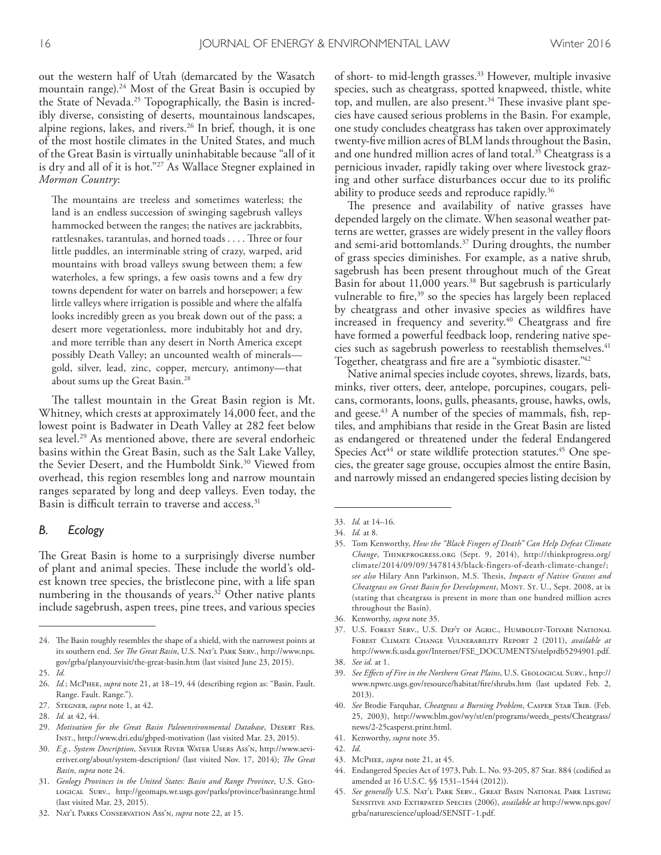out the western half of Utah (demarcated by the Wasatch mountain range). 24 Most of the Great Basin is occupied by the State of Nevada. 25 Topographically, the Basin is incredibly diverse, consisting of deserts, mountainous landscapes, alpine regions, lakes, and rivers. 26 In brief, though, it is one of the most hostile climates in the United States, and much of the Great Basin is virtually uninhabitable because "all of it is dry and all of it is hot."27 As Wallace Stegner explained in *Mormon Country*:

The mountains are treeless and sometimes waterless; the land is an endless succession of swinging sagebrush valleys hammocked between the ranges; the natives are jackrabbits, rattlesnakes, tarantulas, and horned toads  $\dots$ . Three or four little puddles, an interminable string of crazy, warped, arid mountains with broad valleys swung between them; a few waterholes, a few springs, a few oasis towns and a few dry towns dependent for water on barrels and horsepower; a few little valleys where irrigation is possible and where the alfalfa looks incredibly green as you break down out of the pass; a desert more vegetationless, more indubitably hot and dry, and more terrible than any desert in North America except possibly Death Valley; an uncounted wealth of minerals gold, silver, lead, zinc, copper, mercury, antimony—that about sums up the Great Basin. 28

The tallest mountain in the Great Basin region is Mt. Whitney, which crests at approximately 14,000 feet, and the lowest point is Badwater in Death Valley at 282 feet below sea level. 29 As mentioned above, there are several endorheic basins within the Great Basin, such as the Salt Lake Valley, the Sevier Desert, and the Humboldt Sink. 30 Viewed from overhead, this region resembles long and narrow mountain ranges separated by long and deep valleys. Even today, the Basin is difficult terrain to traverse and access.<sup>31</sup>

#### *B. Ecology*

The Great Basin is home to a surprisingly diverse number of plant and animal species. These include the world's oldest known tree species, the bristlecone pine, with a life span numbering in the thousands of years. 32 Other native plants include sagebrush, aspen trees, pine trees, and various species

- 30. *E.g.*, *System Description*, Sevier River Water Users Ass'n, http://www.sevierriver.org/about/system-description/ (last visited Nov. 17, 2014); *Te Great Basin*, *supra* note 24.
- 31. *Geology Provinces in the United States: Basin and Range Province*, U.S. Geological Surv., http://geomaps.wr.usgs.gov/parks/province/basinrange.html (last visited Mar. 23, 2015).
- 32. Nat'l Parks Conservation Ass'n, *supra* note 22, at 15.

of short- to mid-length grasses. 33 However, multiple invasive species, such as cheatgrass, spotted knapweed, thistle, white top, and mullen, are also present.<sup>34</sup> These invasive plant species have caused serious problems in the Basin. For example, one study concludes cheatgrass has taken over approximately twenty-fve million acres of BLM lands throughout the Basin, and one hundred million acres of land total. 35 Cheatgrass is a pernicious invader, rapidly taking over where livestock grazing and other surface disturbances occur due to its prolifc ability to produce seeds and reproduce rapidly. 36

The presence and availability of native grasses have depended largely on the climate. When seasonal weather patterns are wetter, grasses are widely present in the valley foors and semi-arid bottomlands. 37 During droughts, the number of grass species diminishes. For example, as a native shrub, sagebrush has been present throughout much of the Great Basin for about 11,000 years. 38 But sagebrush is particularly vulnerable to fire,<sup>39</sup> so the species has largely been replaced by cheatgrass and other invasive species as wildfres have increased in frequency and severity. 40 Cheatgrass and fre have formed a powerful feedback loop, rendering native species such as sagebrush powerless to reestablish themselves. 41 Together, cheatgrass and fre are a "symbiotic disaster." 42

Native animal species include coyotes, shrews, lizards, bats, minks, river otters, deer, antelope, porcupines, cougars, pelicans, cormorants, loons, gulls, pheasants, grouse, hawks, owls, and geese. 43 A number of the species of mammals, fsh, reptiles, and amphibians that reside in the Great Basin are listed as endangered or threatened under the federal Endangered Species Act<sup>44</sup> or state wildlife protection statutes.<sup>45</sup> One species, the greater sage grouse, occupies almost the entire Basin, and narrowly missed an endangered species listing decision by

- 35. Tom Kenworthy, *How the "Black Fingers of Death" Can Help Defeat Climate Change*, Thinkprogress.org (Sept. 9, 2014), http://thinkprogress.org/ climate/2014/09/09/3478143/black-fingers-of-death-climate-change/; *see also* Hilary Ann Parkinson, M.S. Tesis, *Impacts of Native Grasses and Cheatgrass on Great Basin for Development*, MONT. ST. U., Sept. 2008, at ix (stating that cheatgrass is present in more than one hundred million acres throughout the Basin).
- 36. Kenworthy, *supra* note 35.
- 37. U.S. FOREST SERV., U.S. DEP'T OF AGRIC., HUMBOLDT-TOIYABE NATIONAL Forest Climate Change Vulnerability Report 2 (2011), *available at* http://www.fs.usda.gov/Internet/FSE\_DOCUMENTS/stelprdb5294901.pdf. 38. *See id.* at 1.
- 39. *See Efects of Fire in the Northern Great Plains*, U.S. Geological Surv., http:// www.npwrc.usgs.gov/resource/habitat/fre/shrubs.htm (last updated Feb. 2, 2013).
- 40. *See* Brodie Farquhar, *Cheatgrass a Burning Problem*, Casper Star Trib. (Feb. 25, 2003), http://www.blm.gov/wy/st/en/programs/weeds\_pests/Cheatgrass/ news/2-25casperst.print.html.
- 41. Kenworthy, *supra* note 35.
- 42. *Id*.
- 43. McPhee, *supra* note 21, at 45.
- 44. Endangered Species Act of 1973, Pub. L. No. 93-205, 87 Stat. 884 (codifed as amended at 16 U.S.C. §§ 1531–1544 (2012)).
- 45. *See generally* U.S. Nat'l Park Serv., Great Basin National Park Listing Sensitive and Extirpated Species (2006), *available at* http://www.nps.gov/ grba/naturescience/upload/SENSIT~1.pdf.

<sup>24.</sup> The Basin roughly resembles the shape of a shield, with the narrowest points at its southern end. *See Te Great Basin*, U.S. Nat'l Park Serv., http://www.nps. gov/grba/planyourvisit/the-great-basin.htm (last visited June 23, 2015).

<sup>25.</sup> *Id.*

<sup>26.</sup> *Id.*; McPhee, *supra* note 21, at 18–19, 44 (describing region as: "Basin. Fault. Range. Fault. Range.").

<sup>27.</sup> Stegner, *supra* note 1, at 42.

<sup>28.</sup> *Id.* at 42, 44.

<sup>29.</sup> *Motivation for the Great Basin Paleoenvironmental Database*, Desert Res. Inst., http://www.dri.edu/gbped-motivation (last visited Mar. 23, 2015).

<sup>33.</sup> *Id.* at 14–16.

<sup>34.</sup> *Id.* at 8.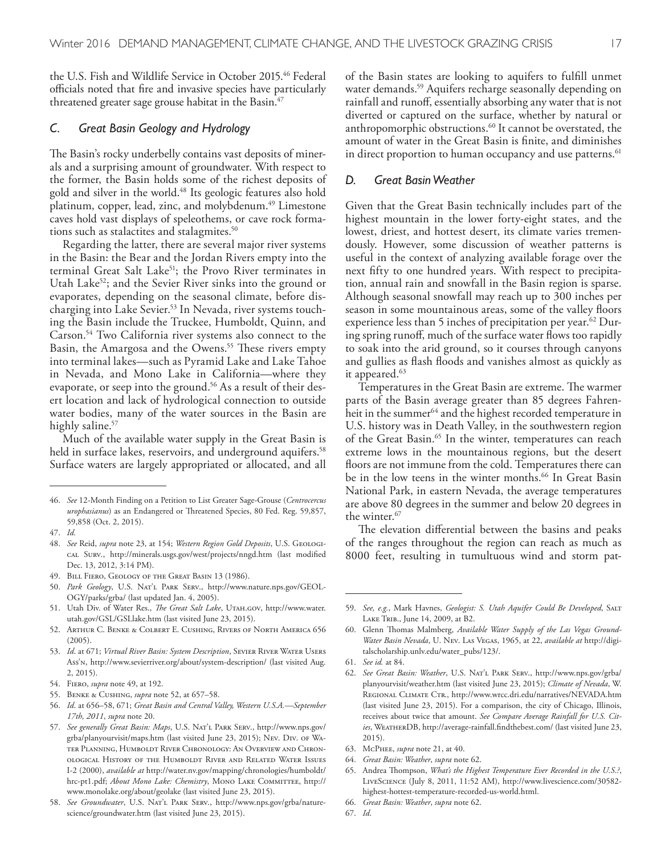the U.S. Fish and Wildlife Service in October 2015. 46 Federal officials noted that fire and invasive species have particularly threatened greater sage grouse habitat in the Basin. 47

#### *C. Great Basin Geology and Hydrology*

The Basin's rocky underbelly contains vast deposits of minerals and a surprising amount of groundwater. With respect to the former, the Basin holds some of the richest deposits of gold and silver in the world. 48 Its geologic features also hold platinum, copper, lead, zinc, and molybdenum. 49 Limestone caves hold vast displays of speleothems, or cave rock formations such as stalactites and stalagmites. 50

Regarding the latter, there are several major river systems in the Basin: the Bear and the Jordan Rivers empty into the terminal Great Salt Lake<sup>51</sup>; the Provo River terminates in Utah Lake<sup>52</sup>; and the Sevier River sinks into the ground or evaporates, depending on the seasonal climate, before discharging into Lake Sevier. 53 In Nevada, river systems touching the Basin include the Truckee, Humboldt, Quinn, and Carson. 54 Two California river systems also connect to the Basin, the Amargosa and the Owens.<sup>55</sup> These rivers empty into terminal lakes—such as Pyramid Lake and Lake Tahoe in Nevada, and Mono Lake in California—where they evaporate, or seep into the ground. 56 As a result of their desert location and lack of hydrological connection to outside water bodies, many of the water sources in the Basin are highly saline. 57

Much of the available water supply in the Great Basin is held in surface lakes, reservoirs, and underground aquifers. 58 Surface waters are largely appropriated or allocated, and all

- 48. *See* Reid, *supra* note 23, at 154; *Western Region Gold Deposits*, U.S. Geological Surv., http://minerals.usgs.gov/west/projects/nngd.htm (last modifed Dec. 13, 2012, 3:14 PM).
- 49. Bill Fiero, Geology of the Great Basin 13 (1986).
- Park Geology, U.S. NAT'L PARK SERV., http://www.nature.nps.gov/GEOL-OGY/parks/grba/ (last updated Jan. 4, 2005).
- 51. Utah Div. of Water Res., *Te Great Salt Lake*, Utah.gov, http://www.water. utah.gov/GSL/GSLlake.htm (last visited June 23, 2015).
- 52. Arthur C. Benke & Colbert E. Cushing, Rivers of North America 656 (2005).
- 53. *Id*. at 671; *Virtual River Basin: System Description*, Sevier River Water Users Ass'n, http://www.sevierriver.org/about/system-description/ (last visited Aug. 2, 2015).
- 54. Fiero, *supra* note 49, at 192.
- 55. Benke & Cushing, *supra* note 52, at 657–58.
- 56. *Id*. at 656–58, 671; *Great Basin and Central Valley, Western U.S.A.—September 17th, 2011*, *supra* note 20.
- 57. *See generally Great Basin: Maps*, U.S. Nat'l Park Serv., http://www.nps.gov/ grba/planyourvisit/maps.htm (last visited June 23, 2015); Nev. Div. of Water Planning, Humboldt River Chronology: An Overview and Chronological History of the Humboldt River and Related Water Issues I-2 (2000), *available at* http://water.nv.gov/mapping/chronologies/humboldt/ hrc-pt1.pdf; *About Mono Lake: Chemistry*, MONO LAKE COMMITTEE, http:// www.monolake.org/about/geolake (last visited June 23, 2015).
- 58. *See Groundwater*, U.S. Nat'l Park Serv., http://www.nps.gov/grba/naturescience/groundwater.htm (last visited June 23, 2015).

of the Basin states are looking to aquifers to fulfll unmet water demands. 59 Aquifers recharge seasonally depending on rainfall and runof, essentially absorbing any water that is not diverted or captured on the surface, whether by natural or anthropomorphic obstructions. 60 It cannot be overstated, the amount of water in the Great Basin is fnite, and diminishes in direct proportion to human occupancy and use patterns. 61

#### *D. Great Basin Weather*

Given that the Great Basin technically includes part of the highest mountain in the lower forty-eight states, and the lowest, driest, and hottest desert, its climate varies tremendously. However, some discussion of weather patterns is useful in the context of analyzing available forage over the next ffty to one hundred years. With respect to precipitation, annual rain and snowfall in the Basin region is sparse. Although seasonal snowfall may reach up to 300 inches per season in some mountainous areas, some of the valley floors experience less than 5 inches of precipitation per year. 62 During spring runoff, much of the surface water flows too rapidly to soak into the arid ground, so it courses through canyons and gullies as fash foods and vanishes almost as quickly as it appeared. 63

Temperatures in the Great Basin are extreme. The warmer parts of the Basin average greater than 85 degrees Fahrenheit in the summer<sup>64</sup> and the highest recorded temperature in U.S. history was in Death Valley, in the southwestern region of the Great Basin. 65 In the winter, temperatures can reach extreme lows in the mountainous regions, but the desert foors are not immune from the cold. Temperatures there can be in the low teens in the winter months. 66 In Great Basin National Park, in eastern Nevada, the average temperatures are above 80 degrees in the summer and below 20 degrees in the winter. 67

The elevation differential between the basins and peaks of the ranges throughout the region can reach as much as 8000 feet, resulting in tumultuous wind and storm pat-

- 63. McPhee, *supra* note 21, at 40.
- 64. *Great Basin: Weather*, *supra* note 62.

- 66. *Great Basin: Weather*, *supra* note 62.
- 67. *Id*.

<sup>46.</sup> *See* 12-Month Finding on a Petition to List Greater Sage-Grouse (*Centrocercus urophasianus*) as an Endangered or Threatened Species, 80 Fed. Reg. 59,857, 59,858 (Oct. 2, 2015).

<sup>47.</sup> *Id.*

<sup>59.</sup> *See, e.g.*, Mark Havnes, *Geologist: S. Utah Aquifer Could Be Developed*, Salt LAKE TRIB., June 14, 2009, at B2.

<sup>60.</sup> Glenn Thomas Malmberg, Available Water Supply of the Las Vegas Ground-*Water Basin Nevada*, U. Nev. Las Vegas, 1965, at 22, *available at* http://digitalscholarship.unlv.edu/water\_pubs/123/.

<sup>61.</sup> *See id.* at 84.

<sup>62.</sup> *See Great Basin: Weather*, U.S. Nat'l Park Serv., http://www.nps.gov/grba/ planyourvisit/weather.htm (last visited June 23, 2015); *Climate of Nevada*, W. REGIONAL CLIMATE CTR., http://www.wrcc.dri.edu/narratives/NEVADA.htm (last visited June 23, 2015). For a comparison, the city of Chicago, Illinois, receives about twice that amount. *See Compare Average Rainfall for U.S. Cities*, WeatherDB, http://average-rainfall.fndthebest.com/ (last visited June 23, 2015).

<sup>65.</sup> Andrea Thompson, *What's the Highest Temperature Ever Recorded in the U.S.?*, LiveScience (July 8, 2011, 11:52 AM), http://www.livescience.com/30582 highest-hottest-temperature-recorded-us-world.html.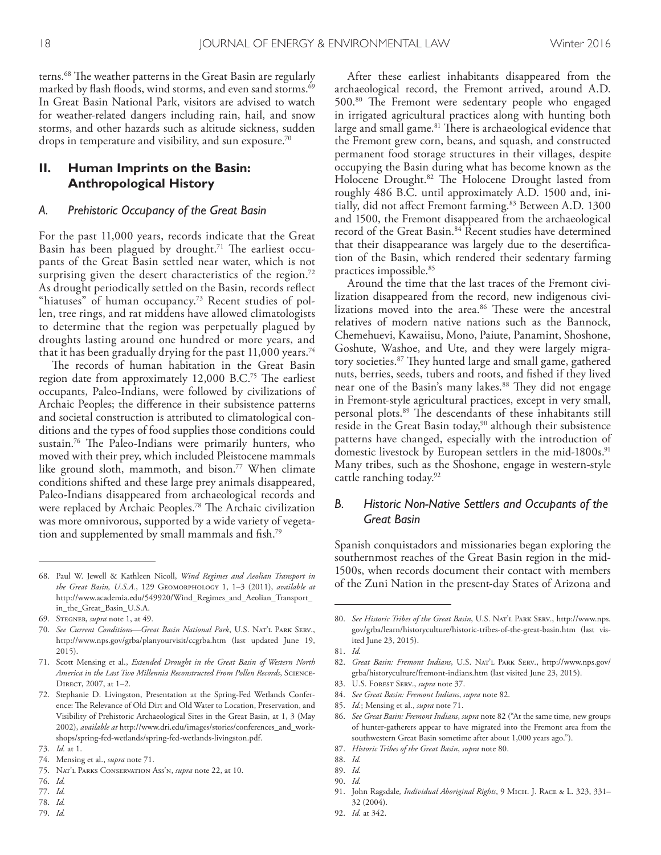terns.<sup>68</sup> The weather patterns in the Great Basin are regularly marked by fash foods, wind storms, and even sand storms. 69 In Great Basin National Park, visitors are advised to watch for weather-related dangers including rain, hail, and snow storms, and other hazards such as altitude sickness, sudden drops in temperature and visibility, and sun exposure. $^{70}$ 

## **II. Human Imprints on the Basin: Anthropological History**

#### *A. Prehistoric Occupancy of the Great Basin*

For the past 11,000 years, records indicate that the Great Basin has been plagued by drought.<sup>71</sup> The earliest occupants of the Great Basin settled near water, which is not surprising given the desert characteristics of the region.<sup>72</sup> As drought periodically settled on the Basin, records refect "hiatuses" of human occupancy. 73 Recent studies of pollen, tree rings, and rat middens have allowed climatologists to determine that the region was perpetually plagued by droughts lasting around one hundred or more years, and that it has been gradually drying for the past  $11,\!000$  years. $^{74}$ 

The records of human habitation in the Great Basin region date from approximately 12,000 B.C.<sup>75</sup> The earliest occupants, Paleo-Indians, were followed by civilizations of Archaic Peoples; the diference in their subsistence patterns and societal construction is attributed to climatological conditions and the types of food supplies those conditions could sustain.<sup>76</sup> The Paleo-Indians were primarily hunters, who moved with their prey, which included Pleistocene mammals like ground sloth, mammoth, and bison. 77 When climate conditions shifted and these large prey animals disappeared, Paleo-Indians disappeared from archaeological records and were replaced by Archaic Peoples.<sup>78</sup> The Archaic civilization was more omnivorous, supported by a wide variety of vegetation and supplemented by small mammals and fsh. 79

- 76. *Id.*
- 77. *Id.*
- 78. *Id.*
- 79. *Id.*

After these earliest inhabitants disappeared from the archaeological record, the Fremont arrived, around A.D. 500.<sup>80</sup> The Fremont were sedentary people who engaged in irrigated agricultural practices along with hunting both large and small game.<sup>81</sup> There is archaeological evidence that the Fremont grew corn, beans, and squash, and constructed permanent food storage structures in their villages, despite occupying the Basin during what has become known as the Holocene Drought.<sup>82</sup> The Holocene Drought lasted from roughly 486 B.C. until approximately A.D. 1500 and, initially, did not afect Fremont farming. 83 Between A.D. 1300 and 1500, the Fremont disappeared from the archaeological record of the Great Basin. 84 Recent studies have determined that their disappearance was largely due to the desertifcation of the Basin, which rendered their sedentary farming practices impossible. 85

Around the time that the last traces of the Fremont civilization disappeared from the record, new indigenous civilizations moved into the area.<sup>86</sup> These were the ancestral relatives of modern native nations such as the Bannock, Chemehuevi, Kawaiisu, Mono, Paiute, Panamint, Shoshone, Goshute, Washoe, and Ute, and they were largely migratory societies.<sup>87</sup> They hunted large and small game, gathered nuts, berries, seeds, tubers and roots, and fshed if they lived near one of the Basin's many lakes.<sup>88</sup> They did not engage in Fremont-style agricultural practices, except in very small, personal plots.<sup>89</sup> The descendants of these inhabitants still reside in the Great Basin today,<sup>90</sup> although their subsistence patterns have changed, especially with the introduction of domestic livestock by European settlers in the mid-1800s. 91 Many tribes, such as the Shoshone, engage in western-style cattle ranching today. 92

## *B. Historic Non-Native Settlers and Occupants of the Great Basin*

Spanish conquistadors and missionaries began exploring the southernmost reaches of the Great Basin region in the mid-1500s, when records document their contact with members of the Zuni Nation in the present-day States of Arizona and

- 84. *See Great Basin: Fremont Indians*, *supra* note 82.
- 85. *Id.*; Mensing et al., *supra* note 71.
- 86. *See Great Basin: Fremont Indians*, *supra* note 82 ("At the same time, new groups of hunter-gatherers appear to have migrated into the Fremont area from the southwestern Great Basin sometime after about 1,000 years ago.").
- 87. *Historic Tribes of the Great Basin*, *supra* note 80.

89. *Id.*

- 91. John Ragsdale*, Individual Aboriginal Rights*, 9 Mich. J. Race & L. 323, 331– 32 (2004).
- 92. *Id.* at 342.

<sup>68.</sup> Paul W. Jewell & Kathleen Nicoll, *Wind Regimes and Aeolian Transport in the Great Basin, U.S.A.*, 129 Geomorphology 1, 1–3 (2011), *available at*  http://www.academia.edu/549920/Wind\_Regimes\_and\_Aeolian\_Transport\_ in\_the\_Great\_Basin\_U.S.A.

<sup>69.</sup> Stegner, *supra* note 1, at 49.

<sup>70.</sup> *See Current Conditions—Great Basin National Park*, U.S. Nat'l Park Serv., http://www.nps.gov/grba/planyourvisit/ccgrba.htm (last updated June 19, 2015).

<sup>71.</sup> Scott Mensing et al., *Extended Drought in the Great Basin of Western North America in the Last Two Millennia Reconstructed From Pollen Records*, Science-DIRECT, 2007, at 1-2.

<sup>72.</sup> Stephanie D. Livingston, Presentation at the Spring-Fed Wetlands Conference: The Relevance of Old Dirt and Old Water to Location, Preservation, and Visibility of Prehistoric Archaeological Sites in the Great Basin, at 1, 3 (May 2002), *available at* http://www.dri.edu/images/stories/conferences\_and\_workshops/spring-fed-wetlands/spring-fed-wetlands-livingston.pdf.

<sup>73.</sup> *Id.* at 1.

<sup>74.</sup> Mensing et al., *supra* note 71.

<sup>75.</sup> Nat'l Parks Conservation Ass'n, *supra* note 22, at 10.

<sup>80.</sup> *See Historic Tribes of the Great Basin*, U.S. Nat'l Park Serv., http://www.nps. gov/grba/learn/historyculture/historic-tribes-of-the-great-basin.htm (last visited June 23, 2015).

<sup>81.</sup> *Id.*

<sup>82.</sup> *Great Basin: Fremont Indians*, U.S. Nat'l Park Serv., http://www.nps.gov/ grba/historyculture/fremont-indians.htm (last visited June 23, 2015).

<sup>83.</sup> U.S. Forest Serv., *supra* note 37.

<sup>88.</sup> *Id.*

<sup>90.</sup> *Id.*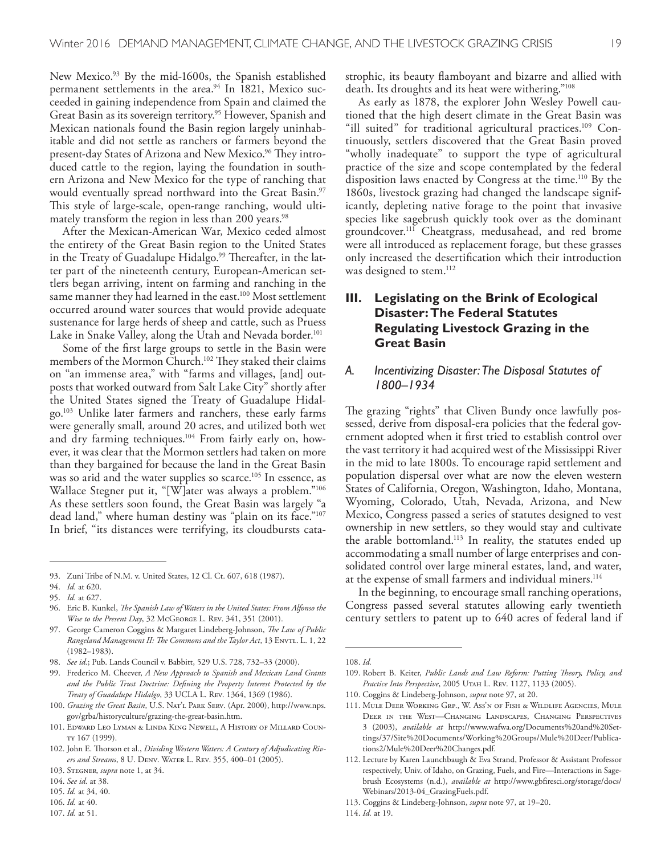New Mexico. 93 By the mid-1600s, the Spanish established permanent settlements in the area. 94 In 1821, Mexico succeeded in gaining independence from Spain and claimed the Great Basin as its sovereign territory. 95 However, Spanish and Mexican nationals found the Basin region largely uninhabitable and did not settle as ranchers or farmers beyond the present-day States of Arizona and New Mexico.<sup>96</sup> They introduced cattle to the region, laying the foundation in southern Arizona and New Mexico for the type of ranching that would eventually spread northward into the Great Basin. 97 This style of large-scale, open-range ranching, would ultimately transform the region in less than 200 years. 98

After the Mexican-American War, Mexico ceded almost the entirety of the Great Basin region to the United States in the Treaty of Guadalupe Hidalgo.<sup>99</sup> Thereafter, in the latter part of the nineteenth century, European-American settlers began arriving, intent on farming and ranching in the same manner they had learned in the east. 100 Most settlement occurred around water sources that would provide adequate sustenance for large herds of sheep and cattle, such as Pruess Lake in Snake Valley, along the Utah and Nevada border. 101

Some of the frst large groups to settle in the Basin were members of the Mormon Church.<sup>102</sup> They staked their claims on "an immense area," with "farms and villages, [and] outposts that worked outward from Salt Lake City" shortly after the United States signed the Treaty of Guadalupe Hidalgo. 103 Unlike later farmers and ranchers, these early farms were generally small, around 20 acres, and utilized both wet and dry farming techniques. 104 From fairly early on, however, it was clear that the Mormon settlers had taken on more than they bargained for because the land in the Great Basin was so arid and the water supplies so scarce. 105 In essence, as Wallace Stegner put it, "[W]ater was always a problem."106 As these settlers soon found, the Great Basin was largely "a dead land," where human destiny was "plain on its face."<sup>107</sup> In brief, "its distances were terrifying, its cloudbursts cata-

93. Zuni Tribe of N.M. v. United States, 12 Cl. Ct. 607, 618 (1987).

102. John E. Thorson et al., *Dividing Western Waters: A Century of Adjudicating Rivers and Streams*, 8 U. Denv. Water L. Rev. 355, 400–01 (2005).

106. *Id.* at 40.

strophic, its beauty famboyant and bizarre and allied with death. Its droughts and its heat were withering."<sup>108</sup>

As early as 1878, the explorer John Wesley Powell cautioned that the high desert climate in the Great Basin was "ill suited" for traditional agricultural practices. 109 Continuously, settlers discovered that the Great Basin proved "wholly inadequate" to support the type of agricultural practice of the size and scope contemplated by the federal disposition laws enacted by Congress at the time. 110 By the 1860s, livestock grazing had changed the landscape significantly, depleting native forage to the point that invasive species like sagebrush quickly took over as the dominant groundcover. 111 Cheatgrass, medusahead, and red brome were all introduced as replacement forage, but these grasses only increased the desertifcation which their introduction was designed to stem. 112

# **III. Legislating on the Brink of Ecological Disaster: The Federal Statutes Regulating Livestock Grazing in the Great Basin**

### *A. Incentivizing Disaster: The Disposal Statutes of 1800–1934*

The grazing "rights" that Cliven Bundy once lawfully possessed, derive from disposal-era policies that the federal government adopted when it frst tried to establish control over the vast territory it had acquired west of the Mississippi River in the mid to late 1800s. To encourage rapid settlement and population dispersal over what are now the eleven western States of California, Oregon, Washington, Idaho, Montana, Wyoming, Colorado, Utah, Nevada, Arizona, and New Mexico, Congress passed a series of statutes designed to vest ownership in new settlers, so they would stay and cultivate the arable bottomland. 113 In reality, the statutes ended up accommodating a small number of large enterprises and consolidated control over large mineral estates, land, and water, at the expense of small farmers and individual miners. 114

In the beginning, to encourage small ranching operations, Congress passed several statutes allowing early twentieth century settlers to patent up to 640 acres of federal land if

<sup>94.</sup> *Id.* at 620.

<sup>95.</sup> *Id.* at 627.

<sup>96.</sup> Eric B. Kunkel, *Te Spanish Law of Waters in the United States: From Alfonso the Wise to the Present Day*, 32 McGeorge L. Rev. 341, 351 (2001).

<sup>97.</sup> George Cameron Coggins & Margaret Lindeberg-Johnson, *Te Law of Public Rangeland Management II: The Commons and the Taylor Act*, 13 Envrt. L. 1, 22 (1982–1983).

<sup>98.</sup> *See id.*; Pub. Lands Council v. Babbitt, 529 U.S. 728, 732–33 (2000).

<sup>99.</sup> Frederico M. Cheever, *A New Approach to Spanish and Mexican Land Grants and the Public Trust Doctrine: Defning the Property Interest Protected by the Treaty of Guadalupe Hidalgo*, 33 UCLA L. Rev. 1364, 1369 (1986).

<sup>100.</sup> *Grazing the Great Basin*, U.S. Nat'l Park Serv. (Apr. 2000), http://www.nps. gov/grba/historyculture/grazing-the-great-basin.htm.

<sup>101.</sup> Edward Leo Lyman & Linda King Newell, A History of Millard County 167 (1999).

<sup>103.</sup> Stegner, *supra* note 1, at 34.

<sup>104.</sup> *See id.* at 38.

<sup>105.</sup> *Id.* at 34, 40.

<sup>107.</sup> *Id.* at 51.

<sup>108.</sup> *Id.*

<sup>109.</sup> Robert B. Keiter, *Public Lands and Law Reform: Putting Teory, Policy, and Practice Into Perspective*, 2005 Utah L. Rev. 1127, 1133 (2005).

<sup>110.</sup> Coggins & Lindeberg-Johnson, *supra* note 97, at 20.

<sup>111.</sup> Mule Deer Working Grp., W. Ass'n of Fish & Wildlife Agencies, Mule Deer in the West—Changing Landscapes, Changing Perspectives 3 (2003), *available at* http://www.wafwa.org/Documents%20and%20Settings/37/Site%20Documents/Working%20Groups/Mule%20Deer/Publications2/Mule%20Deer%20Changes.pdf.

<sup>112.</sup> Lecture by Karen Launchbaugh & Eva Strand, Professor & Assistant Professor respectively, Univ. of Idaho, on Grazing, Fuels, and Fire—Interactions in Sagebrush Ecosystems (n.d.), *available at* http://www.gbfresci.org/storage/docs/ Webinars/2013-04\_GrazingFuels.pdf.

<sup>113.</sup> Coggins & Lindeberg-Johnson, *supra* note 97, at 19–20.

<sup>114.</sup> *Id.* at 19.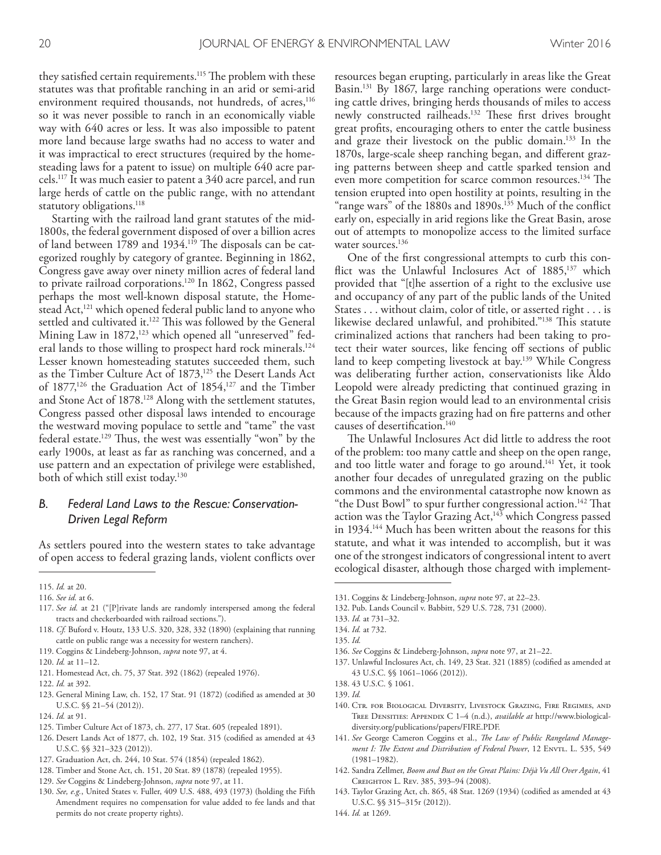they satisfied certain requirements.<sup>115</sup> The problem with these statutes was that proftable ranching in an arid or semi-arid environment required thousands, not hundreds, of acres,<sup>116</sup> so it was never possible to ranch in an economically viable way with 640 acres or less. It was also impossible to patent more land because large swaths had no access to water and it was impractical to erect structures (required by the homesteading laws for a patent to issue) on multiple 640 acre parcels. 117 It was much easier to patent a 340 acre parcel, and run large herds of cattle on the public range, with no attendant statutory obligations. 118

Starting with the railroad land grant statutes of the mid-1800s, the federal government disposed of over a billion acres of land between 1789 and 1934.<sup>119</sup> The disposals can be categorized roughly by category of grantee. Beginning in 1862, Congress gave away over ninety million acres of federal land to private railroad corporations. 120 In 1862, Congress passed perhaps the most well-known disposal statute, the Homestead Act,<sup>121</sup> which opened federal public land to anyone who settled and cultivated it.<sup>122</sup> This was followed by the General Mining Law in 1872,<sup>123</sup> which opened all "unreserved" federal lands to those willing to prospect hard rock minerals. 124 Lesser known homesteading statutes succeeded them, such as the Timber Culture Act of 1873,<sup>125</sup> the Desert Lands Act of 1877,<sup>126</sup> the Graduation Act of 1854,<sup>127</sup> and the Timber and Stone Act of 1878. 128 Along with the settlement statutes, Congress passed other disposal laws intended to encourage the westward moving populace to settle and "tame" the vast federal estate.<sup>129</sup> Thus, the west was essentially "won" by the early 1900s, at least as far as ranching was concerned, and a use pattern and an expectation of privilege were established, both of which still exist today. 130

## *B. Federal Land Laws to the Rescue: Conservation-Driven Legal Reform*

As settlers poured into the western states to take advantage of open access to federal grazing lands, violent conficts over

- 118. *Cf.* Buford v. Houtz, 133 U.S. 320, 328, 332 (1890) (explaining that running cattle on public range was a necessity for western ranchers).
- 119. Coggins & Lindeberg-Johnson, *supra* note 97, at 4.
- 120. *Id.* at 11–12.
- 121. Homestead Act, ch. 75, 37 Stat. 392 (1862) (repealed 1976).
- 122. *Id.* at 392.
- 123. General Mining Law, ch. 152, 17 Stat. 91 (1872) (codifed as amended at 30 U.S.C. §§ 21–54 (2012)).
- 124. *Id.* at 91.
- 125. Timber Culture Act of 1873, ch. 277, 17 Stat. 605 (repealed 1891).
- 126. Desert Lands Act of 1877, ch. 102, 19 Stat. 315 (codifed as amended at 43 U.S.C. §§ 321–323 (2012)).
- 127. Graduation Act, ch. 244, 10 Stat. 574 (1854) (repealed 1862).
- 128. Timber and Stone Act, ch. 151, 20 Stat. 89 (1878) (repealed 1955).
- 129. *See* Coggins & Lindeberg-Johnson, *supra* note 97, at 11.
- 130. *See, e.g.*, United States v. Fuller, 409 U.S. 488, 493 (1973) (holding the Fifth Amendment requires no compensation for value added to fee lands and that permits do not create property rights).

resources began erupting, particularly in areas like the Great Basin. 131 By 1867, large ranching operations were conducting cattle drives, bringing herds thousands of miles to access newly constructed railheads.<sup>132</sup> These first drives brought great profts, encouraging others to enter the cattle business and graze their livestock on the public domain. 133 In the 1870s, large-scale sheep ranching began, and diferent grazing patterns between sheep and cattle sparked tension and even more competition for scarce common resources.<sup>134</sup> The tension erupted into open hostility at points, resulting in the "range wars" of the 1880s and 1890s. 135 Much of the confict early on, especially in arid regions like the Great Basin, arose out of attempts to monopolize access to the limited surface water sources.<sup>136</sup>

One of the frst congressional attempts to curb this conflict was the Unlawful Inclosures Act of  $1885$ ,<sup>137</sup> which provided that "[t]he assertion of a right to the exclusive use and occupancy of any part of the public lands of the United States . . . without claim, color of title, or asserted right . . . is likewise declared unlawful, and prohibited."<sup>138</sup> This statute criminalized actions that ranchers had been taking to protect their water sources, like fencing of sections of public land to keep competing livestock at bay. 139 While Congress was deliberating further action, conservationists like Aldo Leopold were already predicting that continued grazing in the Great Basin region would lead to an environmental crisis because of the impacts grazing had on fre patterns and other causes of desertifcation. 140

The Unlawful Inclosures Act did little to address the root of the problem: too many cattle and sheep on the open range, and too little water and forage to go around.<sup>141</sup> Yet, it took another four decades of unregulated grazing on the public commons and the environmental catastrophe now known as "the Dust Bowl" to spur further congressional action.<sup>142</sup> That action was the Taylor Grazing  $Act$ ,<sup>143</sup> which Congress passed in 1934.<sup>144</sup> Much has been written about the reasons for this statute, and what it was intended to accomplish, but it was one of the strongest indicators of congressional intent to avert ecological disaster, although those charged with implement-

131. Coggins & Lindeberg-Johnson, *supra* note 97, at 22–23.

133. *Id.* at 731–32.

- 135. *Id.*
- 136. *See* Coggins & Lindeberg-Johnson, *supra* note 97, at 21–22.
- 137. Unlawful Inclosures Act, ch. 149, 23 Stat. 321 (1885) (codifed as amended at 43 U.S.C. §§ 1061–1066 (2012)).
- 138. 43 U.S.C. § 1061.
- 139. *Id.*
- 140. Ctr. for Biological Diversity, Livestock Grazing, Fire Regimes, and Tree Densities: Appendix C 1–4 (n.d.), *available at* http://www.biologicaldiversity.org/publications/papers/FIRE.PDF.
- 141. *See* George Cameron Coggins et al., *Te Law of Public Rangeland Management I: The Extent and Distribution of Federal Power*, 12 Envrt. L. 535, 549 (1981–1982).
- 142. Sandra Zellmer, *Boom and Bust on the Great Plains: Déjà Vu All Over Again*, 41 Creighton L. Rev. 385, 393–94 (2008).
- 143. Taylor Grazing Act, ch. 865, 48 Stat. 1269 (1934) (codifed as amended at 43 U.S.C. §§ 315–315r (2012)).
- 144. *Id.* at 1269.

<sup>115.</sup> *Id.* at 20.

<sup>116.</sup> *See id.* at 6.

<sup>117.</sup> *See id.* at 21 ("[P]rivate lands are randomly interspersed among the federal tracts and checkerboarded with railroad sections.").

<sup>132.</sup> Pub. Lands Council v. Babbitt, 529 U.S. 728, 731 (2000).

<sup>134.</sup> *Id.* at 732.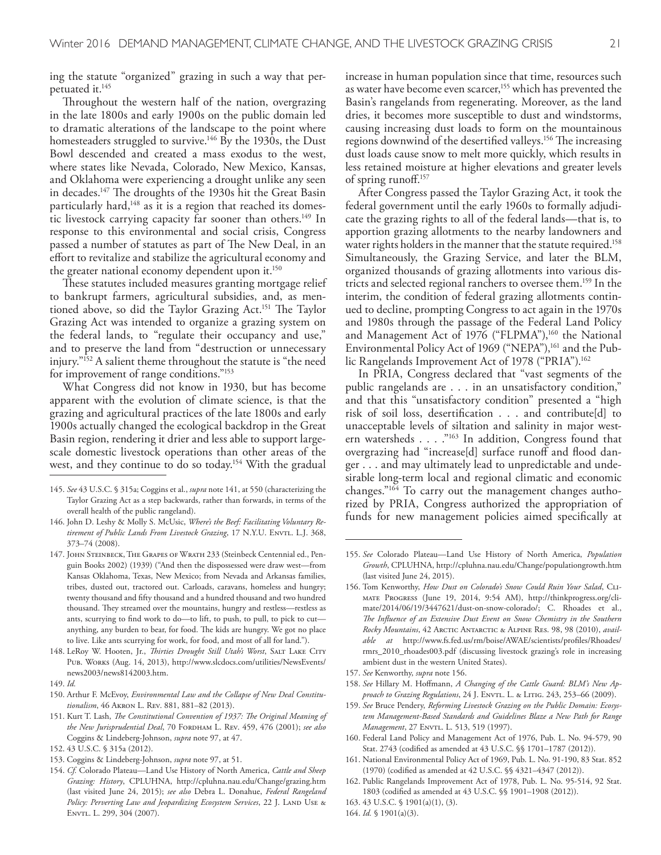ing the statute "organized" grazing in such a way that perpetuated it. 145

Throughout the western half of the nation, overgrazing in the late 1800s and early 1900s on the public domain led to dramatic alterations of the landscape to the point where homesteaders struggled to survive.<sup>146</sup> By the 1930s, the Dust Bowl descended and created a mass exodus to the west, where states like Nevada, Colorado, New Mexico, Kansas, and Oklahoma were experiencing a drought unlike any seen in decades.<sup>147</sup> The droughts of the 1930s hit the Great Basin particularly hard,<sup>148</sup> as it is a region that reached its domestic livestock carrying capacity far sooner than others. 149 In response to this environmental and social crisis, Congress passed a number of statutes as part of The New Deal, in an efort to revitalize and stabilize the agricultural economy and the greater national economy dependent upon it. 150

These statutes included measures granting mortgage relief to bankrupt farmers, agricultural subsidies, and, as mentioned above, so did the Taylor Grazing Act.<sup>151</sup> The Taylor Grazing Act was intended to organize a grazing system on the federal lands, to "regulate their occupancy and use," and to preserve the land from "destruction or unnecessary injury."152 A salient theme throughout the statute is "the need for improvement of range conditions."153

What Congress did not know in 1930, but has become apparent with the evolution of climate science, is that the grazing and agricultural practices of the late 1800s and early 1900s actually changed the ecological backdrop in the Great Basin region, rendering it drier and less able to support largescale domestic livestock operations than other areas of the west, and they continue to do so today. 154 With the gradual

147. John Steinbeck, The Grapes of Wrath 233 (Steinbeck Centennial ed., Penguin Books 2002) (1939) ("And then the dispossessed were draw west—from Kansas Oklahoma, Texas, New Mexico; from Nevada and Arkansas families, tribes, dusted out, tractored out. Carloads, caravans, homeless and hungry; twenty thousand and ffty thousand and a hundred thousand and two hundred thousand. They streamed over the mountains, hungry and restless—restless as ants, scurrying to fnd work to do—to lift, to push, to pull, to pick to cut anything, any burden to bear, for food. The kids are hungry. We got no place to live. Like ants scurrying for work, for food, and most of all for land.").

148. LeRoy W. Hooten, Jr., *Tirties Drought Still Utah's Worst*, Salt Lake City Pub. Works (Aug. 14, 2013), http://www.slcdocs.com/utilities/NewsEvents/ news2003/news8142003.htm.

149. *Id.*

- 151. Kurt T. Lash, *Te Constitutional Convention of 1937: Te Original Meaning of the New Jurisprudential Deal*, 70 FORDHAM L. REV. 459, 476 (2001); *see also* Coggins & Lindeberg-Johnson, *supra* note 97, at 47.
- 152. 43 U.S.C. § 315a (2012).
- 153. Coggins & Lindeberg-Johnson, *supra* note 97, at 51.
- 154. *Cf.* Colorado Plateau—Land Use History of North America, *Cattle and Sheep Grazing: History*, CPLUHNA, http://cpluhna.nau.edu/Change/grazing.htm (last visited June 24, 2015); *see also* Debra L. Donahue, *Federal Rangeland Policy: Perverting Law and Jeopardizing Ecosystem Services*, 22 J. LAND USE & Envtl. L. 299, 304 (2007).

increase in human population since that time, resources such as water have become even scarcer,<sup>155</sup> which has prevented the Basin's rangelands from regenerating. Moreover, as the land dries, it becomes more susceptible to dust and windstorms, causing increasing dust loads to form on the mountainous regions downwind of the desertified valleys.<sup>156</sup> The increasing dust loads cause snow to melt more quickly, which results in less retained moisture at higher elevations and greater levels of spring runof. 157

After Congress passed the Taylor Grazing Act, it took the federal government until the early 1960s to formally adjudicate the grazing rights to all of the federal lands—that is, to apportion grazing allotments to the nearby landowners and water rights holders in the manner that the statute required. 158 Simultaneously, the Grazing Service, and later the BLM, organized thousands of grazing allotments into various districts and selected regional ranchers to oversee them. 159 In the interim, the condition of federal grazing allotments continued to decline, prompting Congress to act again in the 1970s and 1980s through the passage of the Federal Land Policy and Management Act of 1976 ("FLPMA"),<sup>160</sup> the National Environmental Policy Act of 1969 ("NEPA"),<sup>161</sup> and the Public Rangelands Improvement Act of 1978 ("PRIA"). 162

In PRIA, Congress declared that "vast segments of the public rangelands are . . . in an unsatisfactory condition," and that this "unsatisfactory condition" presented a "high risk of soil loss, desertifcation . . . and contribute[d] to unacceptable levels of siltation and salinity in major western watersheds . . . . "<sup>163</sup> In addition, Congress found that overgrazing had "increase[d] surface runoff and flood danger . . . and may ultimately lead to unpredictable and undesirable long-term local and regional climatic and economic changes."164 To carry out the management changes authorized by PRIA, Congress authorized the appropriation of funds for new management policies aimed specifcally at

- 157. *See* Kenworthy, *supra* note 156.
- 158. *See* Hillary M. Hofmann, *A Changing of the Cattle Guard: BLM's New Approach to Grazing Regulations*, 24 J. ENVTL. L. & LITIG. 243, 253-66 (2009).
- 159. *See* Bruce Pendery, *Reforming Livestock Grazing on the Public Domain: Ecosystem Management-Based Standards and Guidelines Blaze a New Path for Range Management*, 27 ENVTL. L. 513, 519 (1997).
- 160. Federal Land Policy and Management Act of 1976, Pub. L. No. 94-579, 90 Stat. 2743 (codifed as amended at 43 U.S.C. §§ 1701–1787 (2012)).
- 161. National Environmental Policy Act of 1969, Pub. L. No. 91-190, 83 Stat. 852 (1970) (codifed as amended at 42 U.S.C. §§ 4321–4347 (2012)).
- 162. Public Rangelands Improvement Act of 1978, Pub. L. No. 95-514, 92 Stat. 1803 (codifed as amended at 43 U.S.C. §§ 1901–1908 (2012)).
- 163. 43 U.S.C. § 1901(a)(1), (3).
- 164. *Id.* § 1901(a)(3).

<sup>145.</sup> *See* 43 U.S.C. § 315a; Coggins et al., *supra* note 141, at 550 (characterizing the Taylor Grazing Act as a step backwards, rather than forwards, in terms of the overall health of the public rangeland).

<sup>146.</sup> John D. Leshy & Molly S. McUsic, *Where's the Beef: Facilitating Voluntary Re*tirement of Public Lands From Livestock Grazing, 17 N.Y.U. ENVTL. L.J. 368, 373–74 (2008).

<sup>150.</sup> Arthur F. McEvoy, *Environmental Law and the Collapse of New Deal Constitutionalism*, 46 Akron L. Rev. 881, 881–82 (2013).

<sup>155.</sup> *See* Colorado Plateau—Land Use History of North America, *Population Growth*, CPLUHNA, http://cpluhna.nau.edu/Change/populationgrowth.htm (last visited June 24, 2015).

<sup>156.</sup> Tom Kenworthy, *How Dust on Colorado's Snow Could Ruin Your Salad*, CLImate Progress (June 19, 2014, 9:54 AM), http://thinkprogress.org/climate/2014/06/19/3447621/dust-on-snow-colorado/; C. Rhoades et al., *Te Infuence of an Extensive Dust Event on Snow Chemistry in the Southern Rocky Mountains*, 42 Arctic Antarctic & Alpine Res. 98, 98 (2010), *available at* http://www.fs.fed.us/rm/boise/AWAE/scientists/profles/Rhoades/ rmrs\_2010\_rhoades003.pdf (discussing livestock grazing's role in increasing ambient dust in the western United States).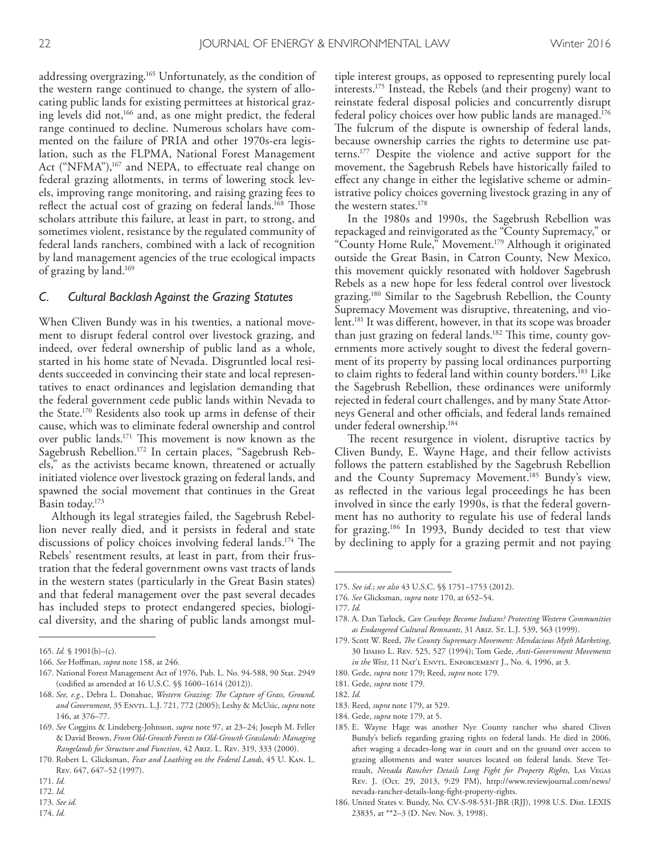addressing overgrazing. 165 Unfortunately, as the condition of the western range continued to change, the system of allocating public lands for existing permittees at historical grazing levels did not,<sup>166</sup> and, as one might predict, the federal range continued to decline. Numerous scholars have commented on the failure of PRIA and other 1970s-era legislation, such as the FLPMA, National Forest Management Act ("NFMA"),<sup>167</sup> and NEPA, to effectuate real change on federal grazing allotments, in terms of lowering stock levels, improving range monitoring, and raising grazing fees to reflect the actual cost of grazing on federal lands.<sup>168</sup> Those scholars attribute this failure, at least in part, to strong, and sometimes violent, resistance by the regulated community of federal lands ranchers, combined with a lack of recognition by land management agencies of the true ecological impacts of grazing by land. 169

#### *C. Cultural Backlash Against the Grazing Statutes*

When Cliven Bundy was in his twenties, a national movement to disrupt federal control over livestock grazing, and indeed, over federal ownership of public land as a whole, started in his home state of Nevada. Disgruntled local residents succeeded in convincing their state and local representatives to enact ordinances and legislation demanding that the federal government cede public lands within Nevada to the State. 170 Residents also took up arms in defense of their cause, which was to eliminate federal ownership and control over public lands. <sup>171</sup> Tis movement is now known as the Sagebrush Rebellion. 172 In certain places, "Sagebrush Rebels," as the activists became known, threatened or actually initiated violence over livestock grazing on federal lands, and spawned the social movement that continues in the Great Basin today. 173

Although its legal strategies failed, the Sagebrush Rebellion never really died, and it persists in federal and state discussions of policy choices involving federal lands.<sup>174</sup> The Rebels' resentment results, at least in part, from their frustration that the federal government owns vast tracts of lands in the western states (particularly in the Great Basin states) and that federal management over the past several decades has included steps to protect endangered species, biological diversity, and the sharing of public lands amongst mul-

- 167. National Forest Management Act of 1976, Pub. L. No. 94-588, 90 Stat. 2949 (codifed as amended at 16 U.S.C. §§ 1600–1614 (2012)).
- 168. *See, e.g.*, Debra L. Donahue, *Western Grazing: Te Capture of Grass, Ground, and Government*, 35 Envtl. L.J. 721, 772 (2005); Leshy & McUsic, *supra* note 146, at 376–77.
- 169. *See* Coggins & Lindeberg-Johnson, *supra* note 97, at 23–24; Joseph M. Feller & David Brown, *From Old-Growth Forests to Old-Growth Grasslands: Managing Rangelands for Structure and Function*, 42 Ariz. L. Rev. 319, 333 (2000).
- 170. Robert L. Glicksman, *Fear and Loathing on the Federal Lands*, 45 U. Kan. L. Rev. 647, 647–52 (1997).

- 172. *Id.*
- 173. *See id.*
- 174. *Id.*

tiple interest groups, as opposed to representing purely local interests. 175 Instead, the Rebels (and their progeny) want to reinstate federal disposal policies and concurrently disrupt federal policy choices over how public lands are managed. 176 The fulcrum of the dispute is ownership of federal lands, because ownership carries the rights to determine use patterns. 177 Despite the violence and active support for the movement, the Sagebrush Rebels have historically failed to efect any change in either the legislative scheme or administrative policy choices governing livestock grazing in any of the western states. 178

In the 1980s and 1990s, the Sagebrush Rebellion was repackaged and reinvigorated as the "County Supremacy," or "County Home Rule," Movement. 179 Although it originated outside the Great Basin, in Catron County, New Mexico, this movement quickly resonated with holdover Sagebrush Rebels as a new hope for less federal control over livestock grazing. 180 Similar to the Sagebrush Rebellion, the County Supremacy Movement was disruptive, threatening, and violent. 181 It was diferent, however, in that its scope was broader than just grazing on federal lands.<sup>182</sup> This time, county governments more actively sought to divest the federal government of its property by passing local ordinances purporting to claim rights to federal land within county borders. 183 Like the Sagebrush Rebellion, these ordinances were uniformly rejected in federal court challenges, and by many State Attorneys General and other officials, and federal lands remained under federal ownership. 184

The recent resurgence in violent, disruptive tactics by Cliven Bundy, E. Wayne Hage, and their fellow activists follows the pattern established by the Sagebrush Rebellion and the County Supremacy Movement. 185 Bundy's view, as refected in the various legal proceedings he has been involved in since the early 1990s, is that the federal government has no authority to regulate his use of federal lands for grazing. 186 In 1993, Bundy decided to test that view by declining to apply for a grazing permit and not paying

- 178. A. Dan Tarlock, *Can Cowboys Become Indians? Protecting Western Communities as Endangered Cultural Remnants*, 31 Ariz. St. L.J. 539, 563 (1999).
- 179. Scott W. Reed, *Te County Supremacy Movement: Mendacious Myth Marketing*, 30 Idaho L. Rev. 525, 527 (1994); Tom Gede, *Anti-Government Movements in the West*, 11 NAT'L ENVTL. ENFORCEMENT J., No. 4, 1996, at 3.
- 180. Gede, *supra* note 179; Reed, *supra* note 179.
- 181. Gede, *supra* note 179.
- 182. *Id.*
- 183. Reed, *supra* note 179, at 529.
- 184. Gede, *supra* note 179, at 5.
- 185. E. Wayne Hage was another Nye County rancher who shared Cliven Bundy's beliefs regarding grazing rights on federal lands. He died in 2006, after waging a decades-long war in court and on the ground over access to grazing allotments and water sources located on federal lands. Steve Tetreault, *Nevada Rancher Details Long Fight for Property Rights*, Las Vegas Rev. J. (Oct. 29, 2013, 9:29 PM), http://www.reviewjournal.com/news/ nevada-rancher-details-long-fght-property-rights.
- 186. United States v. Bundy, No. CV-S-98-531-JBR (RJJ), 1998 U.S. Dist. LEXIS 23835, at \*\*2–3 (D. Nev. Nov. 3, 1998).

<sup>165.</sup> *Id.* § 1901(b)–(c).

<sup>166.</sup> *See* Hofman, *supra* note 158, at 246.

<sup>171.</sup> *Id.*

<sup>175.</sup> *See id.*; *see also* 43 U.S.C. §§ 1751–1753 (2012).

<sup>176.</sup> *See* Glicksman, *supra* note 170, at 652–54.

<sup>177.</sup> *Id.*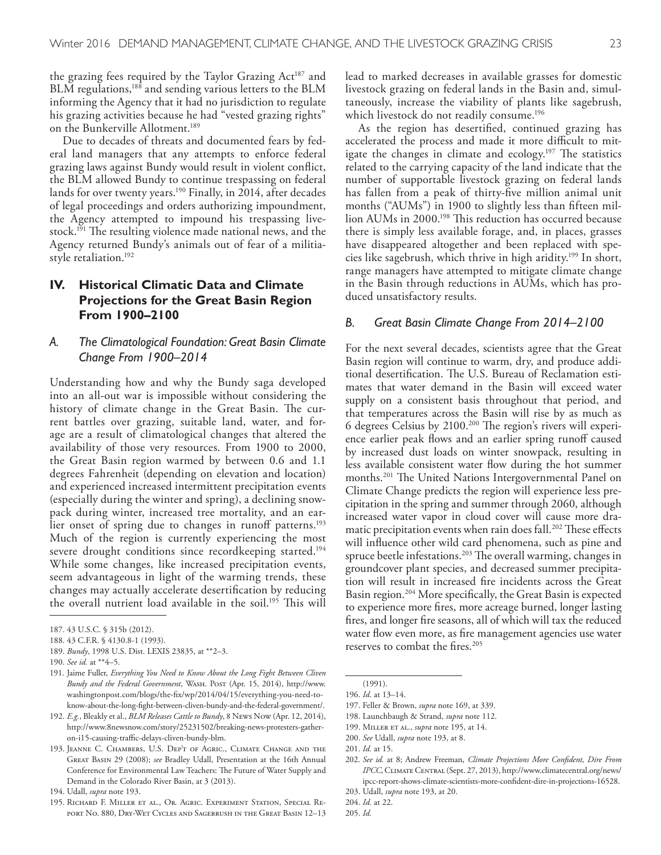the grazing fees required by the Taylor Grazing Act<sup>187</sup> and BLM regulations,<sup>188</sup> and sending various letters to the BLM informing the Agency that it had no jurisdiction to regulate his grazing activities because he had "vested grazing rights" on the Bunkerville Allotment. 189

Due to decades of threats and documented fears by federal land managers that any attempts to enforce federal grazing laws against Bundy would result in violent confict, the BLM allowed Bundy to continue trespassing on federal lands for over twenty years. 190 Finally, in 2014, after decades of legal proceedings and orders authorizing impoundment, the Agency attempted to impound his trespassing livestock.<sup>191</sup> The resulting violence made national news, and the Agency returned Bundy's animals out of fear of a militiastyle retaliation. 192

# **IV. Historical Climatic Data and Climate Projections for the Great Basin Region From 1900–2100**

## *A. The Climatological Foundation: Great Basin Climate Change From 1900–2014*

Understanding how and why the Bundy saga developed into an all-out war is impossible without considering the history of climate change in the Great Basin. The current battles over grazing, suitable land, water, and forage are a result of climatological changes that altered the availability of those very resources. From 1900 to 2000, the Great Basin region warmed by between 0.6 and 1.1 degrees Fahrenheit (depending on elevation and location) and experienced increased intermittent precipitation events (especially during the winter and spring), a declining snowpack during winter, increased tree mortality, and an earlier onset of spring due to changes in runoff patterns.<sup>193</sup> Much of the region is currently experiencing the most severe drought conditions since recordkeeping started. 194 While some changes, like increased precipitation events, seem advantageous in light of the warming trends, these changes may actually accelerate desertifcation by reducing the overall nutrient load available in the soil.<sup>195</sup> This will

lead to marked decreases in available grasses for domestic livestock grazing on federal lands in the Basin and, simultaneously, increase the viability of plants like sagebrush, which livestock do not readily consume. 196

As the region has desertifed, continued grazing has accelerated the process and made it more difficult to mitigate the changes in climate and ecology.<sup>197</sup> The statistics related to the carrying capacity of the land indicate that the number of supportable livestock grazing on federal lands has fallen from a peak of thirty-fve million animal unit months ("AUMs") in 1900 to slightly less than ffteen million AUMs in 2000. <sup>198</sup> Tis reduction has occurred because there is simply less available forage, and, in places, grasses have disappeared altogether and been replaced with species like sagebrush, which thrive in high aridity. 199 In short, range managers have attempted to mitigate climate change in the Basin through reductions in AUMs, which has produced unsatisfactory results.

#### *B. Great Basin Climate Change From 2014–2100*

For the next several decades, scientists agree that the Great Basin region will continue to warm, dry, and produce additional desertification. The U.S. Bureau of Reclamation estimates that water demand in the Basin will exceed water supply on a consistent basis throughout that period, and that temperatures across the Basin will rise by as much as  $6$  degrees Celsius by 2100. $^{200}$  The region's rivers will experience earlier peak flows and an earlier spring runoff caused by increased dust loads on winter snowpack, resulting in less available consistent water flow during the hot summer months.<sup>201</sup> The United Nations Intergovernmental Panel on Climate Change predicts the region will experience less precipitation in the spring and summer through 2060, although increased water vapor in cloud cover will cause more dramatic precipitation events when rain does fall.<sup>202</sup> These effects will infuence other wild card phenomena, such as pine and spruce beetle infestations.<sup>203</sup> The overall warming, changes in groundcover plant species, and decreased summer precipitation will result in increased fre incidents across the Great Basin region. 204 More specifcally, the Great Basin is expected to experience more fres, more acreage burned, longer lasting fres, and longer fre seasons, all of which will tax the reduced water flow even more, as fire management agencies use water reserves to combat the fres. 205

198. Launchbaugh & Strand, *supra* note 112.

<sup>187.</sup> 43 U.S.C. § 315b (2012).

<sup>188.</sup> 43 C.F.R. § 4130.8-1 (1993).

<sup>189.</sup> *Bundy*, 1998 U.S. Dist. LEXIS 23835, at \*\*2–3.

<sup>190.</sup> *See id.* at \*\*4–5.

<sup>191.</sup> Jaime Fuller, *Everything You Need to Know About the Long Fight Between Cliven Bundy and the Federal Government*, Wash. Post (Apr. 15, 2014), http://www. washingtonpost.com/blogs/the-fx/wp/2014/04/15/everything-you-need-toknow-about-the-long-fght-between-cliven-bundy-and-the-federal-government/.

<sup>192.</sup> *E.g.*, Bleakly et al., *BLM Releases Cattle to Bundy*, 8 News Now (Apr. 12, 2014), http://www.8newsnow.com/story/25231502/breaking-news-protesters-gatheron-i15-causing-traffic-delays-cliven-bundy-blm.

<sup>193.</sup> Jeanne C. Chambers, U.S. Dep't of Agric., Climate Change and the Great Basin 29 (2008); *see* Bradley Udall, Presentation at the 16th Annual Conference for Environmental Law Teachers: The Future of Water Supply and Demand in the Colorado River Basin, at 3 (2013).

<sup>194.</sup> Udall, *supra* note 193.

<sup>195.</sup> Richard F. Miller et al., Or. Agric. Experiment Station, Special Report No. 880, Dry-Wet Cycles and Sagebrush in the Great Basin 12–13

<sup>(1991).</sup> 196. *Id*. at 13–14.

<sup>197.</sup> Feller & Brown, *supra* note 169, at 339.

<sup>199.</sup> Miller et al., *supra* note 195, at 14.

<sup>200.</sup> *See* Udall, *supra* note 193, at 8.

<sup>201.</sup> *Id.* at 15.

<sup>202.</sup> *See id.* at 8; Andrew Freeman, *Climate Projections More Confdent, Dire From*  IPCC, CLIMATE CENTRAL (Sept. 27, 2013), http://www.climatecentral.org/news/ ipcc-report-shows-climate-scientists-more-confdent-dire-in-projections-16528.

<sup>203.</sup> Udall, *supra* note 193, at 20.

<sup>204.</sup> *Id.* at 22.

<sup>205.</sup> *Id.*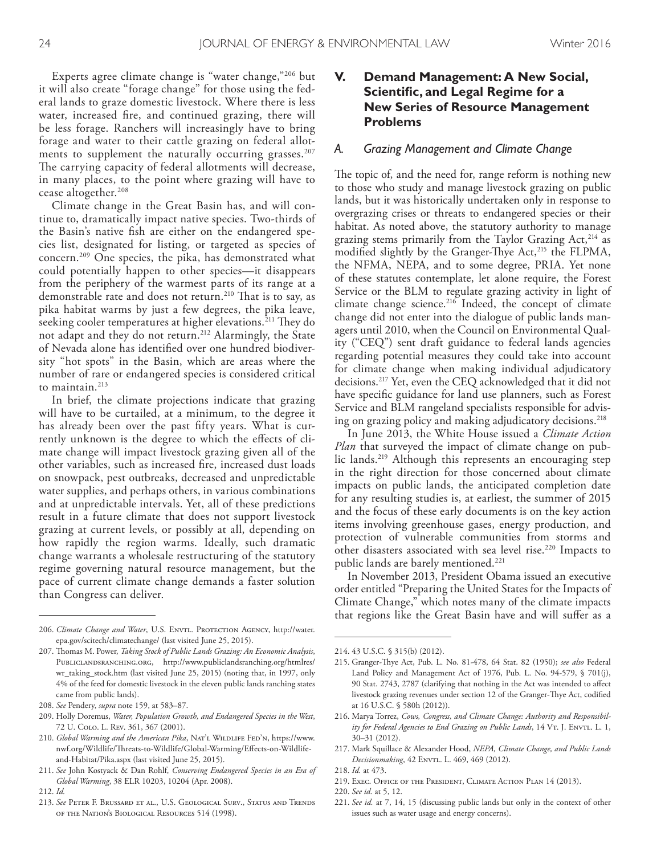Experts agree climate change is "water change,"206 but it will also create "forage change" for those using the federal lands to graze domestic livestock. Where there is less water, increased fre, and continued grazing, there will be less forage. Ranchers will increasingly have to bring forage and water to their cattle grazing on federal allotments to supplement the naturally occurring grasses. 207 The carrying capacity of federal allotments will decrease, in many places, to the point where grazing will have to cease altogether. 208

Climate change in the Great Basin has, and will continue to, dramatically impact native species. Two-thirds of the Basin's native fsh are either on the endangered species list, designated for listing, or targeted as species of concern. 209 One species, the pika, has demonstrated what could potentially happen to other species—it disappears from the periphery of the warmest parts of its range at a demonstrable rate and does not return.<sup>210</sup> That is to say, as pika habitat warms by just a few degrees, the pika leave, seeking cooler temperatures at higher elevations.<sup>211</sup> They do not adapt and they do not return. 212 Alarmingly, the State of Nevada alone has identifed over one hundred biodiversity "hot spots" in the Basin, which are areas where the number of rare or endangered species is considered critical to maintain. 213

In brief, the climate projections indicate that grazing will have to be curtailed, at a minimum, to the degree it has already been over the past ffty years. What is currently unknown is the degree to which the efects of climate change will impact livestock grazing given all of the other variables, such as increased fre, increased dust loads on snowpack, pest outbreaks, decreased and unpredictable water supplies, and perhaps others, in various combinations and at unpredictable intervals. Yet, all of these predictions result in a future climate that does not support livestock grazing at current levels, or possibly at all, depending on how rapidly the region warms. Ideally, such dramatic change warrants a wholesale restructuring of the statutory regime governing natural resource management, but the pace of current climate change demands a faster solution than Congress can deliver.

212. *Id.*

# **V. Demand Management: A New Social, Scientific, and Legal Regime for a New Series of Resource Management Problems**

#### *A. Grazing Management and Climate Change*

The topic of, and the need for, range reform is nothing new to those who study and manage livestock grazing on public lands, but it was historically undertaken only in response to overgrazing crises or threats to endangered species or their habitat. As noted above, the statutory authority to manage grazing stems primarily from the Taylor Grazing Act,<sup>214</sup> as modified slightly by the Granger-Thye Act,<sup>215</sup> the FLPMA, the NFMA, NEPA, and to some degree, PRIA. Yet none of these statutes contemplate, let alone require, the Forest Service or the BLM to regulate grazing activity in light of climate change science. 216 Indeed, the concept of climate change did not enter into the dialogue of public lands managers until 2010, when the Council on Environmental Quality ("CEQ") sent draft guidance to federal lands agencies regarding potential measures they could take into account for climate change when making individual adjudicatory decisions. 217 Yet, even the CEQ acknowledged that it did not have specifc guidance for land use planners, such as Forest Service and BLM rangeland specialists responsible for advising on grazing policy and making adjudicatory decisions. 218

In June 2013, the White House issued a *Climate Action Plan* that surveyed the impact of climate change on public lands. 219 Although this represents an encouraging step in the right direction for those concerned about climate impacts on public lands, the anticipated completion date for any resulting studies is, at earliest, the summer of 2015 and the focus of these early documents is on the key action items involving greenhouse gases, energy production, and protection of vulnerable communities from storms and other disasters associated with sea level rise. 220 Impacts to public lands are barely mentioned. 221

In November 2013, President Obama issued an executive order entitled "Preparing the United States for the Impacts of Climate Change," which notes many of the climate impacts that regions like the Great Basin have and will sufer as a

- 219. Exec. Office of the President, Climate Action Plan 14 (2013).
- 220. *See id.* at 5, 12.
- 221. *See id.* at 7, 14, 15 (discussing public lands but only in the context of other issues such as water usage and energy concerns).

<sup>206.</sup> *Climate Change and Water*, U.S. ENVTL. PROTECTION AGENCY, http://water. epa.gov/scitech/climatechange/ (last visited June 25, 2015).

<sup>207.</sup> Thomas M. Power, *Taking Stock of Public Lands Grazing: An Economic Analysis*, Publiclandsranching.org, http://www.publiclandsranching.org/htmlres/ wr\_taking\_stock.htm (last visited June 25, 2015) (noting that, in 1997, only 4% of the feed for domestic livestock in the eleven public lands ranching states came from public lands).

<sup>208.</sup> *See* Pendery, *supra* note 159, at 583–87.

<sup>209.</sup> Holly Doremus, *Water, Population Growth, and Endangered Species in the West*, 72 U. Colo. L. Rev. 361, 367 (2001).

<sup>210.</sup> *Global Warming and the American Pika*, NAT'L WILDLIFE FED'N, https://www. nwf.org/Wildlife/Threats-to-Wildlife/Global-Warming/Effects-on-Wildlifeand-Habitat/Pika.aspx (last visited June 25, 2015).

<sup>211.</sup> *See* John Kostyack & Dan Rohlf, *Conserving Endangered Species in an Era of Global Warming*, 38 ELR 10203, 10204 (Apr. 2008).

<sup>213.</sup> *See* Peter F. Brussard et al., U.S. Geological Surv., Status and Trends of the Nation's Biological Resources 514 (1998).

<sup>214.</sup> 43 U.S.C. § 315(b) (2012).

<sup>215.</sup> Granger-Tye Act, Pub. L. No. 81-478, 64 Stat. 82 (1950); *see also* Federal Land Policy and Management Act of 1976, Pub. L. No. 94-579, § 701(j), 90 Stat. 2743, 2787 (clarifying that nothing in the Act was intended to afect livestock grazing revenues under section 12 of the Granger-Thye Act, codified at 16 U.S.C. § 580h (2012)).

<sup>216.</sup> Marya Torrez, *Cows, Congress, and Climate Change: Authority and Responsibil*ity for Federal Agencies to End Grazing on Public Lands, 14 V<sub>T</sub>. J. ENVTL. L. 1, 30–31 (2012).

<sup>217.</sup> Mark Squillace & Alexander Hood, *NEPA, Climate Change, and Public Lands Decisionmaking*, 42 ENVTL. L. 469, 469 (2012).

<sup>218.</sup> *Id.* at 473.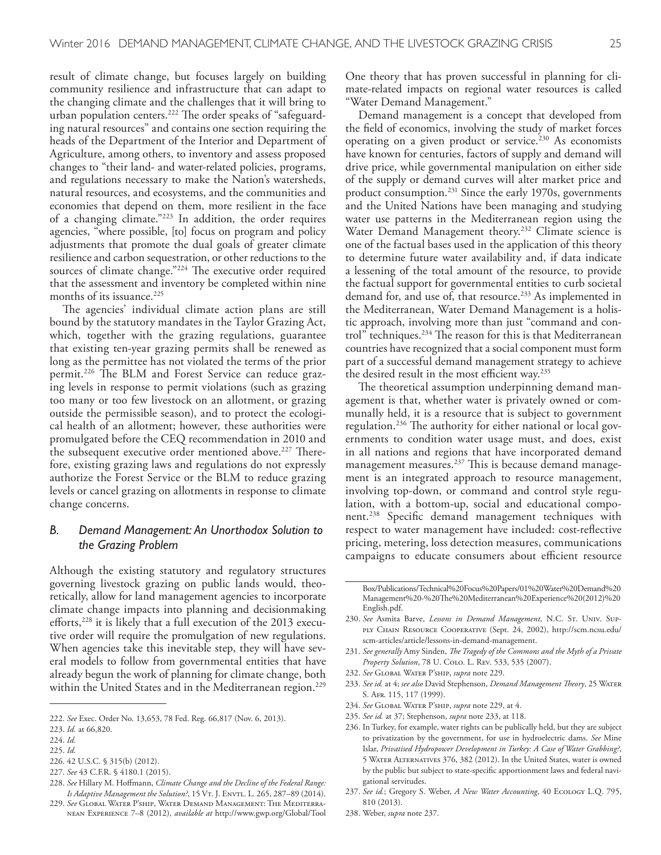result of climate change, but focuses largely on building community resilience and infrastructure that can adapt to the changing climate and the challenges that it will bring to urban population centers.<sup>222</sup> The order speaks of "safeguarding natural resources" and contains one section requiring the heads of the Department of the Interior and Department of Agriculture, among others, to inventory and assess proposed changes to "their land- and water-related policies, programs, and regulations necessary to make the Nation's watersheds, natural resources, and ecosystems, and the communities and economies that depend on them, more resilient in the face of a changing climate."223 In addition, the order requires agencies, "where possible, [to] focus on program and policy adjustments that promote the dual goals of greater climate resilience and carbon sequestration, or other reductions to the sources of climate change."<sup>224</sup> The executive order required that the assessment and inventory be completed within nine months of its issuance. 225

The agencies' individual climate action plans are still bound by the statutory mandates in the Taylor Grazing Act, which, together with the grazing regulations, guarantee that existing ten-year grazing permits shall be renewed as long as the permittee has not violated the terms of the prior permit.<sup>226</sup> The BLM and Forest Service can reduce grazing levels in response to permit violations (such as grazing too many or too few livestock on an allotment, or grazing outside the permissible season), and to protect the ecological health of an allotment; however, these authorities were promulgated before the CEQ recommendation in 2010 and the subsequent executive order mentioned above.<sup>227</sup> Therefore, existing grazing laws and regulations do not expressly authorize the Forest Service or the BLM to reduce grazing levels or cancel grazing on allotments in response to climate change concerns.

## *B. Demand Management: An Unorthodox Solution to the Grazing Problem*

Although the existing statutory and regulatory structures governing livestock grazing on public lands would, theoretically, allow for land management agencies to incorporate climate change impacts into planning and decisionmaking efforts,<sup>228</sup> it is likely that a full execution of the 2013 executive order will require the promulgation of new regulations. When agencies take this inevitable step, they will have several models to follow from governmental entities that have already begun the work of planning for climate change, both within the United States and in the Mediterranean region. 229

One theory that has proven successful in planning for climate-related impacts on regional water resources is called "Water Demand Management."

Demand management is a concept that developed from the feld of economics, involving the study of market forces operating on a given product or service. 230 As economists have known for centuries, factors of supply and demand will drive price, while governmental manipulation on either side of the supply or demand curves will alter market price and product consumption. 231 Since the early 1970s, governments and the United Nations have been managing and studying water use patterns in the Mediterranean region using the Water Demand Management theory. 232 Climate science is one of the factual bases used in the application of this theory to determine future water availability and, if data indicate a lessening of the total amount of the resource, to provide the factual support for governmental entities to curb societal demand for, and use of, that resource. 233 As implemented in the Mediterranean, Water Demand Management is a holistic approach, involving more than just "command and control" techniques.<sup>234</sup> The reason for this is that Mediterranean countries have recognized that a social component must form part of a successful demand management strategy to achieve the desired result in the most efficient way.<sup>235</sup>

The theoretical assumption underpinning demand management is that, whether water is privately owned or communally held, it is a resource that is subject to government regulation.<sup>236</sup> The authority for either national or local governments to condition water usage must, and does, exist in all nations and regions that have incorporated demand management measures.<sup>237</sup> This is because demand management is an integrated approach to resource management, involving top-down, or command and control style regulation, with a bottom-up, social and educational component. 238 Specifc demand management techniques with respect to water management have included: cost-refective pricing, metering, loss detection measures, communications campaigns to educate consumers about efficient resource

- 231. *See generally* Amy Sinden, *Te Tragedy of the Commons and the Myth of a Private Property Solution*, 78 U. Colo. L. Rev. 533, 535 (2007).
- 232. *See* Global Water P'ship, *supra* note 229.
- 233. *See id.* at 4; *see also* David Stephenson, *Demand Management Teory*, 25 Water S. Afr. 115, 117 (1999).
- 234. *See* Global Water P'ship, *supra* note 229, at 4.
- 235. *See id.* at 37; Stephenson, *supra* note 233, at 118.
- 236. In Turkey, for example, water rights can be publically held, but they are subject to privatization by the government, for use in hydroelectric dams. *See* Mine Islar, *Privatised Hydropower Development in Turkey: A Case of Water Grabbing?*, 5 Water Alternatives 376, 382 (2012). In the United States, water is owned by the public but subject to state-specifc apportionment laws and federal navigational servitudes.
- 237. *See id.*; Gregory S. Weber, *A New Water Accounting*, 40 Ecology L.Q. 795, 810 (2013).
- 238. Weber, *supra* note 237.

<sup>222.</sup> *See* Exec. Order No. 13,653, 78 Fed. Reg. 66,817 (Nov. 6, 2013).

<sup>223.</sup> *Id.* at 66,820.

<sup>224.</sup> *Id.*

<sup>225.</sup> *Id.*

<sup>226.</sup> 42 U.S.C. § 315(b) (2012). 227. *See* 43 C.F.R. § 4180.1 (2015).

<sup>228.</sup> *See* Hillary M. Hofmann, *Climate Change and the Decline of the Federal Range:* 

*Is Adaptive Management the Solution*?, 15 VT. J. ENVTL. L. 265, 287-89 (2014). 229. *See* Global Water P'ship, Water Demand Management: The Mediterranean Experience 7–8 (2012), *available at* http://www.gwp.org/Global/Tool

Box/Publications/Technical%20Focus%20Papers/01%20Water%20Demand%20 Management%20-%20Te%20Mediterranean%20Experience%20(2012)%20 English.pdf.

<sup>230.</sup> *See* Asmita Barve, *Lessons in Demand Management*, N.C. St. Univ. Supply Chain Resource Cooperative (Sept. 24, 2002), http://scm.ncsu.edu/ scm-articles/article/lessons-in-demand-management.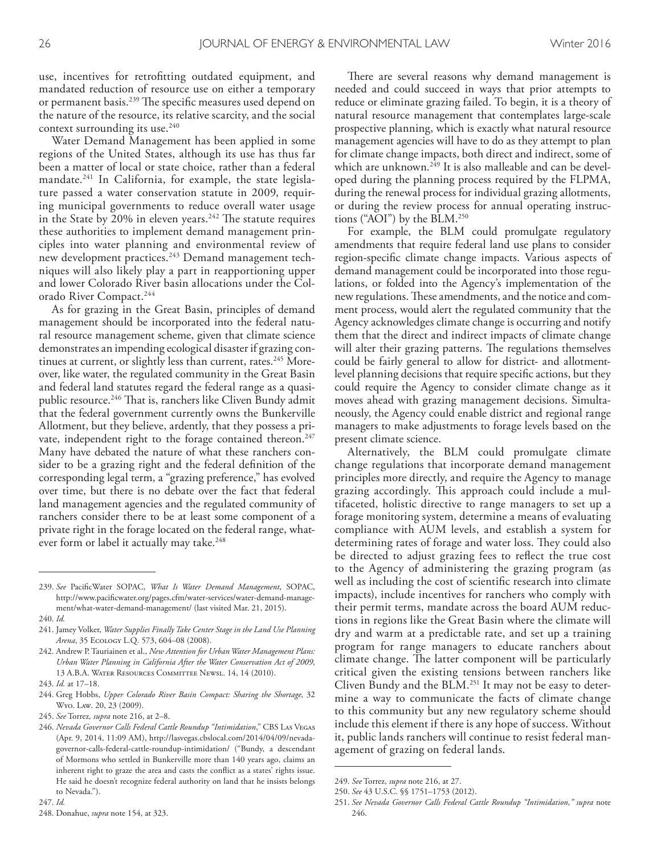use, incentives for retroftting outdated equipment, and mandated reduction of resource use on either a temporary or permanent basis.<sup>239</sup> The specific measures used depend on the nature of the resource, its relative scarcity, and the social context surrounding its use. 240

Water Demand Management has been applied in some regions of the United States, although its use has thus far been a matter of local or state choice, rather than a federal mandate. 241 In California, for example, the state legislature passed a water conservation statute in 2009, requiring municipal governments to reduce overall water usage in the State by 20% in eleven years. $242$  The statute requires these authorities to implement demand management principles into water planning and environmental review of new development practices. 243 Demand management techniques will also likely play a part in reapportioning upper and lower Colorado River basin allocations under the Colorado River Compact. 244

As for grazing in the Great Basin, principles of demand management should be incorporated into the federal natural resource management scheme, given that climate science demonstrates an impending ecological disaster if grazing continues at current, or slightly less than current, rates.<sup>245</sup> Moreover, like water, the regulated community in the Great Basin and federal land statutes regard the federal range as a quasipublic resource.<sup>246</sup> That is, ranchers like Cliven Bundy admit that the federal government currently owns the Bunkerville Allotment, but they believe, ardently, that they possess a private, independent right to the forage contained thereon.<sup>247</sup> Many have debated the nature of what these ranchers consider to be a grazing right and the federal defnition of the corresponding legal term, a "grazing preference," has evolved over time, but there is no debate over the fact that federal land management agencies and the regulated community of ranchers consider there to be at least some component of a private right in the forage located on the federal range, whatever form or label it actually may take. 248

- 241. Jamey Volker, *Water Supplies Finally Take Center Stage in the Land Use Planning Arena*, 35 Ecology L.Q. 573, 604–08 (2008).
- 242. Andrew P. Tauriainen et al., *New Attention for Urban Water Management Plans: Urban Water Planning in California After the Water Conservation Act of 2009*, 13 A.B.A. Water Resources Committee Newsl. 14, 14 (2010).
- 243. *Id.* at 17–18.
- 244. Greg Hobbs, *Upper Colorado River Basin Compact: Sharing the Shortage*, 32 Wyo. Law. 20, 23 (2009).
- 245. *See* Torrez*, supra* note 216, at 2–8.

There are several reasons why demand management is needed and could succeed in ways that prior attempts to reduce or eliminate grazing failed. To begin, it is a theory of natural resource management that contemplates large-scale prospective planning, which is exactly what natural resource management agencies will have to do as they attempt to plan for climate change impacts, both direct and indirect, some of which are unknown. 249 It is also malleable and can be developed during the planning process required by the FLPMA, during the renewal process for individual grazing allotments, or during the review process for annual operating instructions ("AOI") by the BLM. 250

For example, the BLM could promulgate regulatory amendments that require federal land use plans to consider region-specifc climate change impacts. Various aspects of demand management could be incorporated into those regulations, or folded into the Agency's implementation of the new regulations. These amendments, and the notice and comment process, would alert the regulated community that the Agency acknowledges climate change is occurring and notify them that the direct and indirect impacts of climate change will alter their grazing patterns. The regulations themselves could be fairly general to allow for district- and allotmentlevel planning decisions that require specifc actions, but they could require the Agency to consider climate change as it moves ahead with grazing management decisions. Simultaneously, the Agency could enable district and regional range managers to make adjustments to forage levels based on the present climate science.

Alternatively, the BLM could promulgate climate change regulations that incorporate demand management principles more directly, and require the Agency to manage grazing accordingly. This approach could include a multifaceted, holistic directive to range managers to set up a forage monitoring system, determine a means of evaluating compliance with AUM levels, and establish a system for determining rates of forage and water loss. They could also be directed to adjust grazing fees to refect the true cost to the Agency of administering the grazing program (as well as including the cost of scientifc research into climate impacts), include incentives for ranchers who comply with their permit terms, mandate across the board AUM reductions in regions like the Great Basin where the climate will dry and warm at a predictable rate, and set up a training program for range managers to educate ranchers about climate change. The latter component will be particularly critical given the existing tensions between ranchers like Cliven Bundy and the BLM. 251 It may not be easy to determine a way to communicate the facts of climate change to this community but any new regulatory scheme should include this element if there is any hope of success. Without it, public lands ranchers will continue to resist federal management of grazing on federal lands.

<sup>239.</sup> *See* PacifcWater SOPAC, *What Is Water Demand Management*, SOPAC, http://www.pacifcwater.org/pages.cfm/water-services/water-demand-management/what-water-demand-management/ (last visited Mar. 21, 2015).

<sup>240.</sup> *Id.*

<sup>246.</sup> *Nevada Governor Calls Federal Cattle Roundup "Intimidation*," CBS Las Vegas (Apr. 9, 2014, 11:09 AM), http://lasvegas.cbslocal.com/2014/04/09/nevadagovernor-calls-federal-cattle-roundup-intimidation/ ("Bundy, a descendant of Mormons who settled in Bunkerville more than 140 years ago, claims an inherent right to graze the area and casts the confict as a states' rights issue. He said he doesn't recognize federal authority on land that he insists belongs to Nevada.").

<sup>247.</sup> *Id.*

<sup>249.</sup> *See* Torrez, *supra* note 216, at 27.

<sup>250.</sup> *See* 43 U.S.C. §§ 1751–1753 (2012).

<sup>251.</sup> *See Nevada Governor Calls Federal Cattle Roundup "Intimidation*,*" supra* note 246.